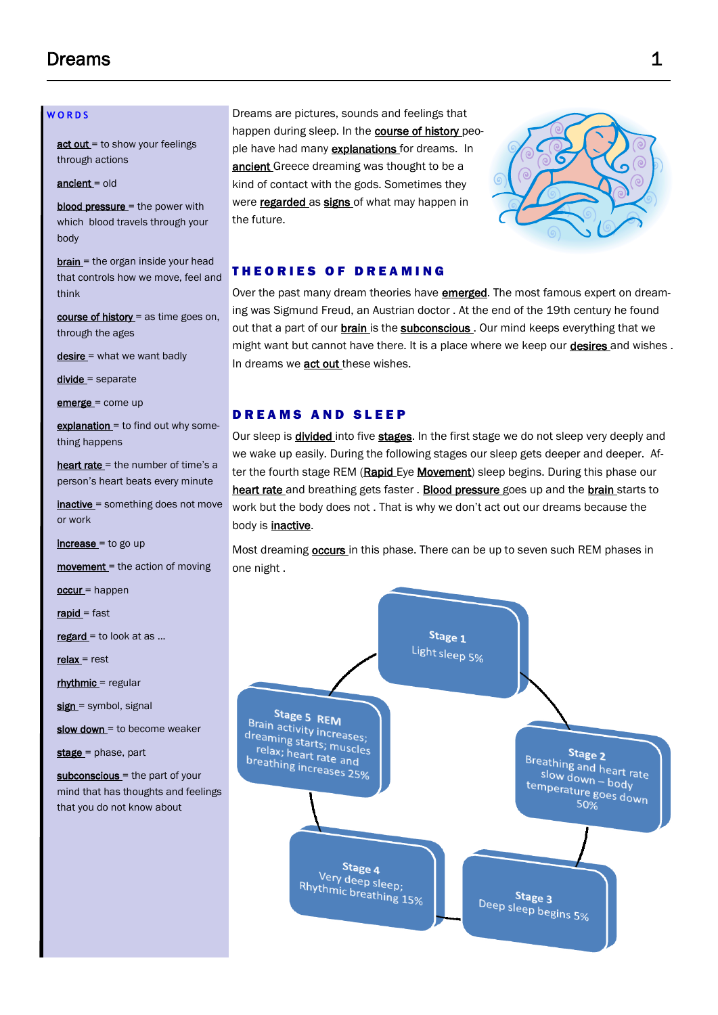# $D$ reams  $1$

#### **W O R D S**

act out = to show your feelings through actions

ancient = old

**blood pressure**  $=$  the power with which blood travels through your body

**brain** = the organ inside your head that controls how we move, feel and think

course of history = as time goes on, through the ages

desire = what we want badly

divide = separate

emerge = come up

explanation = to find out why something happens

heart rate = the number of time's a person's heart beats every minute

inactive = something does not move or work

 $increase = to go up$ 

movement = the action of moving

occur = happen

rapid = fast

 $regard = to look at as ...$ 

 $relax = rest$ 

rhythmic = regular

sign = symbol, signal

slow down = to become weaker

stage = phase, part

subconscious = the part of your mind that has thoughts and feelings that you do not know about

Dreams are pictures, sounds and feelings that happen during sleep. In the **course of history** people have had many **explanations** for dreams. In ancient Greece dreaming was thought to be a kind of contact with the gods. Sometimes they were regarded as signs of what may happen in the future.



## **THEORIES OF DREAMING**

Over the past many dream theories have **emerged**. The most famous expert on dreaming was Sigmund Freud, an Austrian doctor . At the end of the 19th century he found out that a part of our **brain** is the **subconscious**. Our mind keeps everything that we might want but cannot have there. It is a place where we keep our **desires** and wishes. In dreams we **act out** these wishes.

## DREAMS AND SLEEP

Our sleep is **divided** into five **stages**. In the first stage we do not sleep very deeply and we wake up easily. During the following stages our sleep gets deeper and deeper. After the fourth stage REM (Rapid Eye Movement) sleep begins. During this phase our heart rate and breathing gets faster . Blood pressure goes up and the brain starts to work but the body does not . That is why we don't act out our dreams because the body is **inactive**.

Most dreaming **occurs** in this phase. There can be up to seven such REM phases in one night .